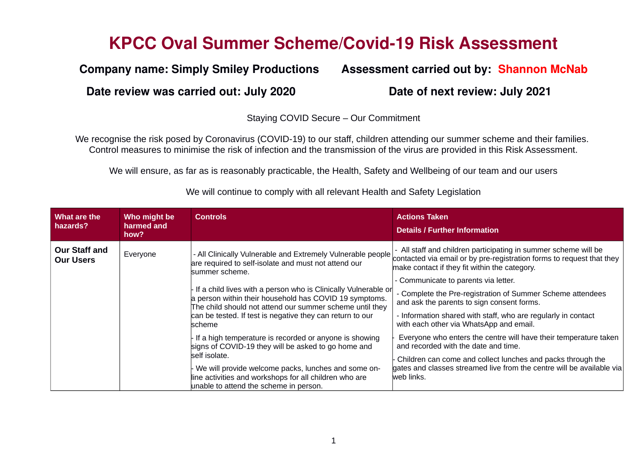# **KPCC Oval Summer Scheme/Covid19 Risk Assessment**

### **Date review was carried out: July 2020 Date of next review: July 2021**

## **Company name: Simply Smiley Productions Assessment carried out by: Shannon McNab**

#### Staying COVID Secure – Our Commitment

We recognise the risk posed by Coronavirus (COVID-19) to our staff, children attending our summer scheme and their families. Control measures to minimise the risk of infection and the transmission of the virus are provided in this Risk Assessment.

We will ensure, as far as is reasonably practicable, the Health, Safety and Wellbeing of our team and our users

| What are the<br>hazards?                 | Who might be<br>harmed and<br>how? | <b>Controls</b>                                                                                                                                                                                                                                                                                                                                                                                                                                                                                                                                                                                                                                                                                   | <b>Actions Taken</b><br><b>Details / Further Information</b>                                                                                                                                                                                                                                                                                                                                                                                                                                                                                                                                                                                                                                                                |
|------------------------------------------|------------------------------------|---------------------------------------------------------------------------------------------------------------------------------------------------------------------------------------------------------------------------------------------------------------------------------------------------------------------------------------------------------------------------------------------------------------------------------------------------------------------------------------------------------------------------------------------------------------------------------------------------------------------------------------------------------------------------------------------------|-----------------------------------------------------------------------------------------------------------------------------------------------------------------------------------------------------------------------------------------------------------------------------------------------------------------------------------------------------------------------------------------------------------------------------------------------------------------------------------------------------------------------------------------------------------------------------------------------------------------------------------------------------------------------------------------------------------------------------|
| <b>Our Staff and</b><br><b>Our Users</b> | Everyone                           | - All Clinically Vulnerable and Extremely Vulnerable people<br>are required to self-isolate and must not attend our<br>summer scheme.<br>If a child lives with a person who is Clinically Vulnerable or<br>a person within their household has COVID 19 symptoms.<br>The child should not attend our summer scheme until they<br>can be tested. If test is negative they can return to our<br>scheme<br>If a high temperature is recorded or anyone is showing<br>signs of COVID-19 they will be asked to go home and<br>self isolate.<br>We will provide welcome packs, lunches and some on-<br>line activities and workshops for all children who are<br>unable to attend the scheme in person. | - All staff and children participating in summer scheme will be<br>contacted via email or by pre-registration forms to request that they<br>make contact if they fit within the category.<br>- Communicate to parents via letter.<br>- Complete the Pre-registration of Summer Scheme attendees<br>and ask the parents to sign consent forms.<br>- Information shared with staff, who are regularly in contact<br>with each other via WhatsApp and email.<br>Everyone who enters the centre will have their temperature taken<br>and recorded with the date and time.<br>Children can come and collect lunches and packs through the<br>gates and classes streamed live from the centre will be available via<br>web links. |

We will continue to comply with all relevant Health and Safety Legislation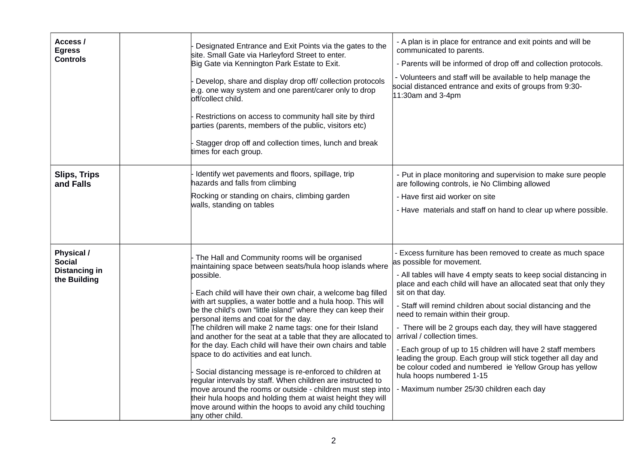| Access /<br><b>Egress</b><br><b>Controls</b>                 | Designated Entrance and Exit Points via the gates to the<br>site. Small Gate via Harleyford Street to enter.<br>Big Gate via Kennington Park Estate to Exit.<br>Develop, share and display drop off/ collection protocols<br>e.g. one way system and one parent/carer only to drop<br>off/collect child.<br>Restrictions on access to community hall site by third<br>parties (parents, members of the public, visitors etc)<br>Stagger drop off and collection times, lunch and break<br>times for each group.                                                                                                                                                                                                                                                                                                                                                                                                                           | - A plan is in place for entrance and exit points and will be<br>communicated to parents.<br>- Parents will be informed of drop off and collection protocols.<br>- Volunteers and staff will be available to help manage the<br>social distanced entrance and exits of groups from 9:30-<br>$11:30$ am and 3-4pm                                                                                                                                                                                                                                                                                                                                                                                                          |
|--------------------------------------------------------------|-------------------------------------------------------------------------------------------------------------------------------------------------------------------------------------------------------------------------------------------------------------------------------------------------------------------------------------------------------------------------------------------------------------------------------------------------------------------------------------------------------------------------------------------------------------------------------------------------------------------------------------------------------------------------------------------------------------------------------------------------------------------------------------------------------------------------------------------------------------------------------------------------------------------------------------------|---------------------------------------------------------------------------------------------------------------------------------------------------------------------------------------------------------------------------------------------------------------------------------------------------------------------------------------------------------------------------------------------------------------------------------------------------------------------------------------------------------------------------------------------------------------------------------------------------------------------------------------------------------------------------------------------------------------------------|
| <b>Slips, Trips</b><br>and Falls                             | Identify wet pavements and floors, spillage, trip<br>nazards and falls from climbing<br>Rocking or standing on chairs, climbing garden<br>walls, standing on tables                                                                                                                                                                                                                                                                                                                                                                                                                                                                                                                                                                                                                                                                                                                                                                       | - Put in place monitoring and supervision to make sure people<br>are following controls, ie No Climbing allowed<br>- Have first aid worker on site<br>- Have materials and staff on hand to clear up where possible.                                                                                                                                                                                                                                                                                                                                                                                                                                                                                                      |
| Physical /<br><b>Social</b><br>Distancing in<br>the Building | The Hall and Community rooms will be organised<br>maintaining space between seats/hula hoop islands where<br>possible.<br>Each child will have their own chair, a welcome bag filled<br>with art supplies, a water bottle and a hula hoop. This will<br>be the child's own "little island" where they can keep their<br>personal items and coat for the day.<br>The children will make 2 name tags: one for their Island<br>and another for the seat at a table that they are allocated to<br>for the day. Each child will have their own chairs and table<br>space to do activities and eat lunch.<br>Social distancing message is re-enforced to children at<br>egular intervals by staff. When children are instructed to<br>move around the rooms or outside - children must step into<br>their hula hoops and holding them at waist height they will<br>move around within the hoops to avoid any child touching<br>any other child. | Excess furniture has been removed to create as much space<br>as possible for movement.<br>- All tables will have 4 empty seats to keep social distancing in<br>place and each child will have an allocated seat that only they<br>sit on that day.<br>- Staff will remind children about social distancing and the<br>need to remain within their group.<br>- There will be 2 groups each day, they will have staggered<br>arrival / collection times.<br>- Each group of up to 15 children will have 2 staff members<br>leading the group. Each group will stick together all day and<br>be colour coded and numbered ie Yellow Group has yellow<br>hula hoops numbered 1-15<br>- Maximum number 25/30 children each day |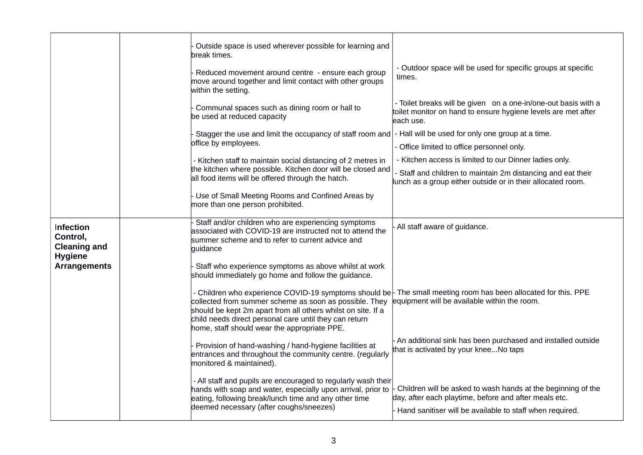|                                                                | Outside space is used wherever possible for learning and<br>break times.                                                                                                                                                          | - Outdoor space will be used for specific groups at specific                                                                                                                      |
|----------------------------------------------------------------|-----------------------------------------------------------------------------------------------------------------------------------------------------------------------------------------------------------------------------------|-----------------------------------------------------------------------------------------------------------------------------------------------------------------------------------|
|                                                                | Reduced movement around centre - ensure each group<br>move around together and limit contact with other groups<br>within the setting.                                                                                             | times.                                                                                                                                                                            |
|                                                                | Communal spaces such as dining room or hall to<br>be used at reduced capacity                                                                                                                                                     | - Toilet breaks will be given on a one-in/one-out basis with a<br>toilet monitor on hand to ensure hygiene levels are met after<br>each use.                                      |
|                                                                | Stagger the use and limit the occupancy of staff room and                                                                                                                                                                         | - Hall will be used for only one group at a time.                                                                                                                                 |
|                                                                | office by employees.                                                                                                                                                                                                              | - Office limited to office personnel only.                                                                                                                                        |
|                                                                | - Kitchen staff to maintain social distancing of 2 metres in                                                                                                                                                                      | - Kitchen access is limited to our Dinner ladies only.                                                                                                                            |
|                                                                | the kitchen where possible. Kitchen door will be closed and<br>all food items will be offered through the hatch.                                                                                                                  | - Staff and children to maintain 2m distancing and eat their<br>lunch as a group either outside or in their allocated room.                                                       |
|                                                                | Use of Small Meeting Rooms and Confined Areas by<br>more than one person prohibited.                                                                                                                                              |                                                                                                                                                                                   |
| Infection<br>Control,<br><b>Cleaning and</b><br><b>Hygiene</b> | Staff and/or children who are experiencing symptoms<br>associated with COVID-19 are instructed not to attend the<br>summer scheme and to refer to current advice and<br>guidance                                                  | All staff aware of guidance.                                                                                                                                                      |
| <b>Arrangements</b>                                            | Staff who experience symptoms as above whilst at work<br>should immediately go home and follow the guidance.                                                                                                                      |                                                                                                                                                                                   |
|                                                                | collected from summer scheme as soon as possible. They<br>should be kept 2m apart from all others whilst on site. If a<br>child needs direct personal care until they can return<br>home, staff should wear the appropriate PPE.  | - Children who experience COVID-19 symptoms should be $\vdash$ The small meeting room has been allocated for this. PPE<br>equipment will be available within the room.            |
|                                                                | Provision of hand-washing / hand-hygiene facilities at<br>entrances and throughout the community centre. (regularly<br>monitored & maintained).                                                                                   | An additional sink has been purchased and installed outside<br>that is activated by your kneeNo taps                                                                              |
|                                                                | - All staff and pupils are encouraged to regularly wash their<br>hands with soap and water, especially upon arrival, prior to<br>eating, following break/lunch time and any other time<br>deemed necessary (after coughs/sneezes) | Children will be asked to wash hands at the beginning of the<br>day, after each playtime, before and after meals etc.<br>Hand sanitiser will be available to staff when required. |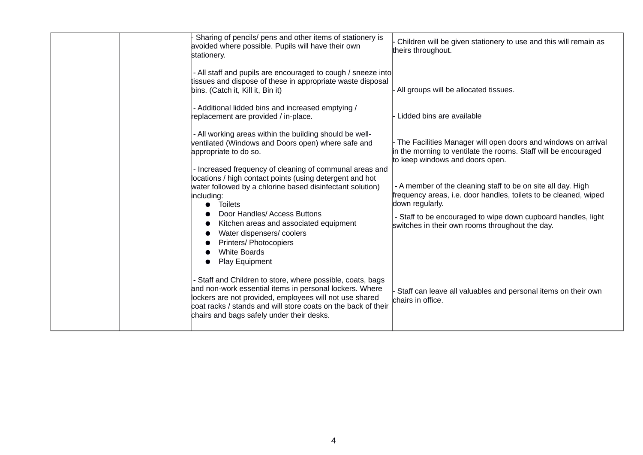|  | Sharing of pencils/ pens and other items of stationery is<br>avoided where possible. Pupils will have their own<br>stationery.                                                                                                                                                                 | Children will be given stationery to use and this will remain as<br>theirs throughout.                                                                              |
|--|------------------------------------------------------------------------------------------------------------------------------------------------------------------------------------------------------------------------------------------------------------------------------------------------|---------------------------------------------------------------------------------------------------------------------------------------------------------------------|
|  | - All staff and pupils are encouraged to cough / sneeze into<br>tissues and dispose of these in appropriate waste disposal<br>bins. (Catch it, Kill it, Bin it)                                                                                                                                | All groups will be allocated tissues.                                                                                                                               |
|  | - Additional lidded bins and increased emptying /<br>replacement are provided / in-place.                                                                                                                                                                                                      | Lidded bins are available                                                                                                                                           |
|  | - All working areas within the building should be well-<br>ventilated (Windows and Doors open) where safe and<br>appropriate to do so.                                                                                                                                                         | The Facilities Manager will open doors and windows on arrival<br>in the morning to ventilate the rooms. Staff will be encouraged<br>to keep windows and doors open. |
|  | - Increased frequency of cleaning of communal areas and<br>locations / high contact points (using detergent and hot<br>water followed by a chlorine based disinfectant solution)<br>including:<br><b>Toilets</b>                                                                               | - A member of the cleaning staff to be on site all day. High<br>frequency areas, i.e. door handles, toilets to be cleaned, wiped<br>down regularly.                 |
|  | Door Handles/ Access Buttons<br>Kitchen areas and associated equipment<br>Water dispensers/coolers<br><b>Printers/ Photocopiers</b><br><b>White Boards</b>                                                                                                                                     | - Staff to be encouraged to wipe down cupboard handles, light<br>switches in their own rooms throughout the day.                                                    |
|  | Play Equipment                                                                                                                                                                                                                                                                                 |                                                                                                                                                                     |
|  | - Staff and Children to store, where possible, coats, bags<br>and non-work essential items in personal lockers. Where<br>lockers are not provided, employees will not use shared<br>coat racks / stands and will store coats on the back of their<br>chairs and bags safely under their desks. | Staff can leave all valuables and personal items on their own<br>chairs in office.                                                                                  |
|  |                                                                                                                                                                                                                                                                                                |                                                                                                                                                                     |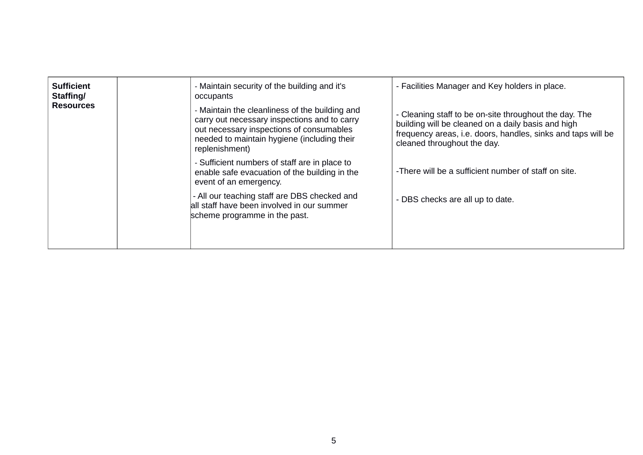| <b>Sufficient</b><br>Staffing/<br><b>Resources</b> | - Maintain security of the building and it's<br>occupants<br>- Maintain the cleanliness of the building and<br>carry out necessary inspections and to carry<br>out necessary inspections of consumables<br>needed to maintain hygiene (including their | - Facilities Manager and Key holders in place.<br>- Cleaning staff to be on-site throughout the day. The<br>building will be cleaned on a daily basis and high<br>frequency areas, i.e. doors, handles, sinks and taps will be |
|----------------------------------------------------|--------------------------------------------------------------------------------------------------------------------------------------------------------------------------------------------------------------------------------------------------------|--------------------------------------------------------------------------------------------------------------------------------------------------------------------------------------------------------------------------------|
|                                                    | replenishment)<br>- Sufficient numbers of staff are in place to<br>enable safe evacuation of the building in the<br>event of an emergency.                                                                                                             | cleaned throughout the day.<br>-There will be a sufficient number of staff on site.                                                                                                                                            |
|                                                    | - All our teaching staff are DBS checked and<br>all staff have been involved in our summer<br>scheme programme in the past.                                                                                                                            | - DBS checks are all up to date.                                                                                                                                                                                               |